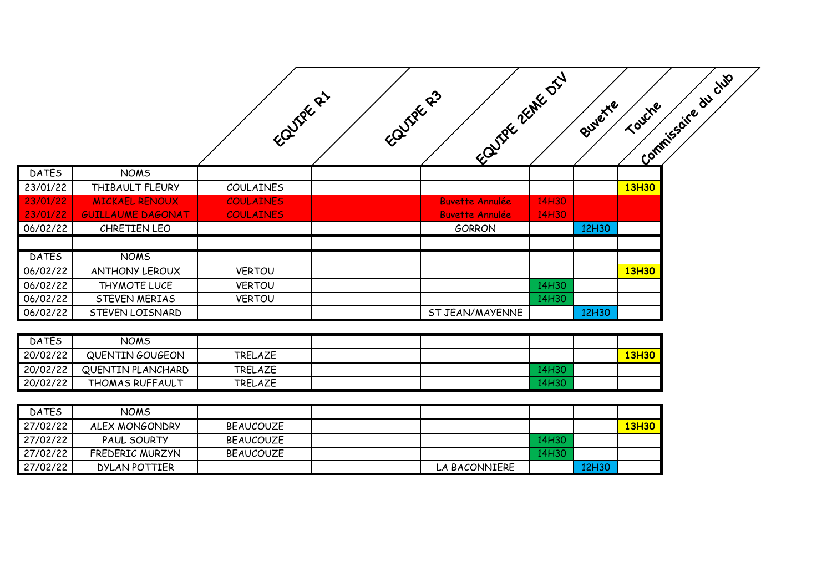|              |                          | EQUERLAN         | EQUIPE R3 | FOUTRE ZEME DIV        |              | Buyexe       | du club<br>Touche<br>Commissaire |
|--------------|--------------------------|------------------|-----------|------------------------|--------------|--------------|----------------------------------|
| <b>DATES</b> | <b>NOMS</b>              |                  |           |                        |              |              |                                  |
| 23/01/22     | THIBAULT FLEURY          | <b>COULAINES</b> |           |                        |              |              | <b>13H30</b>                     |
| 23/01/22     | <b>MICKAEL RENOUX</b>    | <b>COULAINES</b> |           | <b>Buvette Annulée</b> | 14H30        |              |                                  |
| 23/01/22     | <b>GUILLAUME DAGONAT</b> | <b>COULAINES</b> |           | <b>Buvette Annulée</b> | <b>14H30</b> |              |                                  |
| 06/02/22     | CHRETIEN LEO             |                  |           | <b>GORRON</b>          |              | <b>12H30</b> |                                  |
|              |                          |                  |           |                        |              |              |                                  |
| <b>DATES</b> | <b>NOMS</b>              |                  |           |                        |              |              |                                  |
| 06/02/22     | <b>ANTHONY LEROUX</b>    | <b>VERTOU</b>    |           |                        |              |              | <b>13H30</b>                     |
| 06/02/22     | THYMOTE LUCE             | <b>VERTOU</b>    |           |                        | 14H30        |              |                                  |
| 06/02/22     | STEVEN MERIAS            | <b>VERTOU</b>    |           |                        | 14H30        |              |                                  |
| 06/02/22     | STEVEN LOISNARD          |                  |           | ST JEAN/MAYENNE        |              | 12H30        |                                  |

| <b>DATES</b> | <b>NOMS</b>       |                |  |       |              |
|--------------|-------------------|----------------|--|-------|--------------|
| 20/02/22     | QUENTIN GOUGEON   | <b>TRELAZE</b> |  |       | <b>13H30</b> |
| 20/02/22     | QUENTIN PLANCHARD | <b>TRELAZE</b> |  | 14H30 |              |
| 20/02/22     | THOMAS RUFFAULT   | <b>TRELAZE</b> |  | 14H30 |              |

| <b>DATES</b> | <b>NOMS</b>     |                  |               |       |       |              |
|--------------|-----------------|------------------|---------------|-------|-------|--------------|
| 27/02/22     | ALEX MONGONDRY  | <b>BEAUCOUZE</b> |               |       |       | <b>13H30</b> |
| 27/02/22     | PAUL SOURTY     | <b>BEAUCOUZE</b> |               | 14H30 |       |              |
| 27/02/22     | FREDERIC MURZYN | <b>BEAUCOUZE</b> |               | 14H30 |       |              |
| 27/02/22     | DYLAN POTTIER   |                  | LA BACONNIERE |       | 12H30 |              |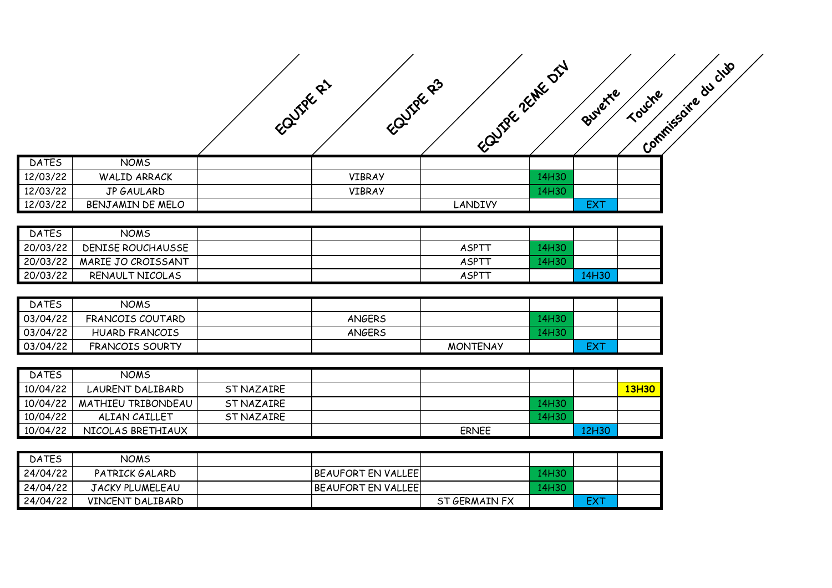|              |                          | EQUIREAL | EQUIPE R3     | EQUIRE 2EME 01Y |       | Buyerke    | Commissaire du club<br>Touche                                              |
|--------------|--------------------------|----------|---------------|-----------------|-------|------------|----------------------------------------------------------------------------|
| <b>DATES</b> | <b>NOMS</b>              |          |               |                 |       |            |                                                                            |
| 12/03/22     | WALID ARRACK             |          | <b>VIBRAY</b> |                 | 14H30 |            |                                                                            |
| 12/03/22     | JP GAULARD               |          | <b>VIBRAY</b> |                 | 14H30 |            |                                                                            |
| 12/03/22     | BENJAMIN DE MELO         |          |               | LANDIVY         |       | <b>EXT</b> |                                                                            |
|              |                          |          |               |                 |       |            |                                                                            |
| <b>DATES</b> | <b>NOMS</b>              |          |               |                 |       |            |                                                                            |
| 20/03/22     | <b>DENISE ROUCHAUSSE</b> |          |               | <b>ASPTT</b>    | 14H30 |            |                                                                            |
| 20/03/22     | MARIE JO CROISSANT       |          |               | <b>ASPTT</b>    | 14H30 |            |                                                                            |
| 20/03/22     | RENAULT NICOLAS          |          |               | <b>ASPTT</b>    |       | 14H30      |                                                                            |
|              |                          |          |               |                 |       |            |                                                                            |
| <b>DATES</b> | <b>NOMS</b>              |          |               |                 |       |            |                                                                            |
| 03/04/22     | FRANCOIS COUTARD         |          | ANGERS        |                 | 14H30 |            |                                                                            |
| 03/04/22     | HUARD FRANCOIS           |          | ANGERS        |                 | 14H30 |            |                                                                            |
| 03/04/22     | FRANCOIS SOURTY          |          |               | <b>MONTENAY</b> |       | EXT.       |                                                                            |
|              |                          |          |               |                 |       |            |                                                                            |
| <b>DATES</b> | <b>NOMS</b>              |          |               |                 |       |            |                                                                            |
|              | $- - -$                  | -------- |               |                 |       |            | $\overline{a}$ $\overline{a}$ $\overline{a}$ $\overline{a}$ $\overline{a}$ |

| 10/04/22 | LAURENT DALIBARD   | ST NAZAIRE        |              |       |       | <b>13H30</b> |
|----------|--------------------|-------------------|--------------|-------|-------|--------------|
| 10/04/22 | MATHIEU TRIBONDEAU | ST NAZAIRE        |              | 14H30 |       |              |
| 10/04/22 | ALIAN CAILLET      | <b>ST NAZAIRE</b> |              | 14H30 |       |              |
| 10/04/22 | NICOLAS BRETHIAUX  |                   | <b>ERNEE</b> |       | 12H30 |              |

| DATES    | <b>NOMS</b>      |                            |               |       |            |  |
|----------|------------------|----------------------------|---------------|-------|------------|--|
| 24/04/22 | PATRICK GALARD   | <b>BEAUFORT EN VALLEEI</b> |               | 14H30 |            |  |
| 24/04/22 | JACKY PLUMELEAU  | <b>BEAUFORT EN VALLEEI</b> |               | 14H30 |            |  |
| 24/04/22 | VINCENT DALIBARD |                            | ST GERMAIN FX |       | <b>EYT</b> |  |